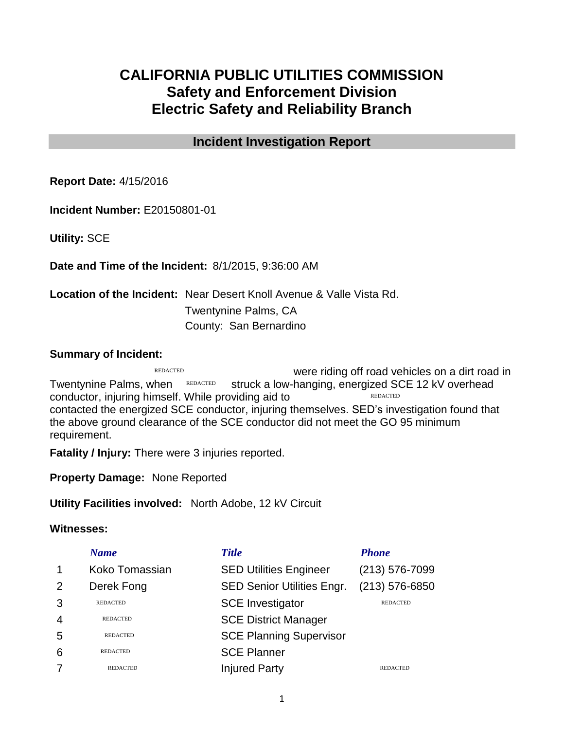# **CALIFORNIA PUBLIC UTILITIES COMMISSION Safety and Enforcement Division Electric Safety and Reliability Branch**

## **Incident Investigation Report**

**Report Date:** 4/15/2016

**Incident Number:** E20150801-01

**Utility:** SCE

**Date and Time of the Incident:** 8/1/2015, 9:36:00 AM

**Location of the Incident:** Near Desert Knoll Avenue & Valle Vista Rd. Twentynine Palms, CA County: San Bernardino

#### **Summary of Incident:**

were riding off road vehicles on a dirt road in Twentynine Palms, when REDACTED struck a low-hanging, energized SCE 12 kV overhead conductor, injuring himself. While providing aid to contacted the energized SCE conductor, injuring themselves. SED's investigation found that the above ground clearance of the SCE conductor did not meet the GO 95 minimum requirement. REDACTED REDACTED REDACTED

**Fatality / Injury:** There were 3 injuries reported.

**Property Damage:** None Reported

**Utility Facilities involved:** North Adobe, 12 kV Circuit

#### **Witnesses:**

|                | <b>Name</b>     | <b>Title</b>                      | <b>Phone</b>       |
|----------------|-----------------|-----------------------------------|--------------------|
| $\mathbf 1$    | Koko Tomassian  | <b>SED Utilities Engineer</b>     | $(213) 576 - 7099$ |
| $\overline{2}$ | Derek Fong      | <b>SED Senior Utilities Engr.</b> | $(213) 576 - 6850$ |
| 3              | <b>REDACTED</b> | <b>SCE Investigator</b>           | <b>REDACTED</b>    |
| 4              | <b>REDACTED</b> | <b>SCE District Manager</b>       |                    |
| 5              | <b>REDACTED</b> | <b>SCE Planning Supervisor</b>    |                    |
| 6              | <b>REDACTED</b> | <b>SCE Planner</b>                |                    |
| 7              | <b>REDACTED</b> | <b>Injured Party</b>              | <b>REDACTED</b>    |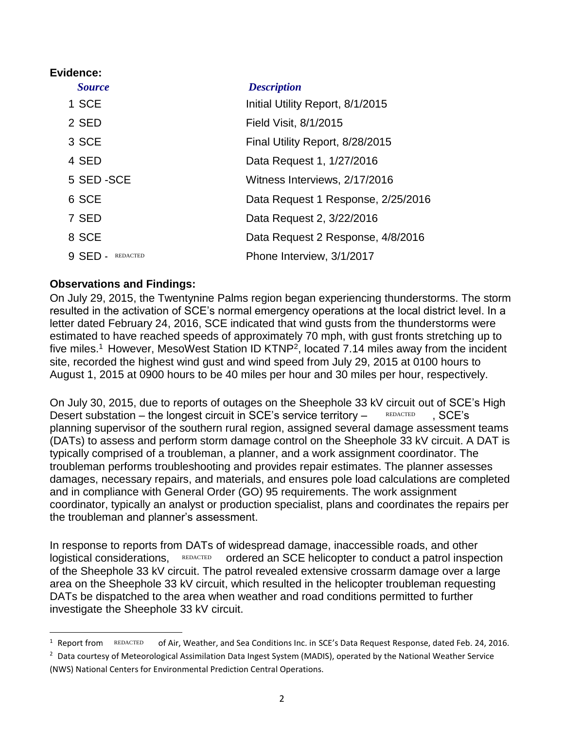#### **Evidence:**

 $\overline{\phantom{a}}$ 

| <b>Source</b>            | <b>Description</b>                 |
|--------------------------|------------------------------------|
| 1 SCE                    | Initial Utility Report, 8/1/2015   |
| 2 SED                    | Field Visit, 8/1/2015              |
| 3 SCE                    | Final Utility Report, 8/28/2015    |
| 4 SED                    | Data Request 1, 1/27/2016          |
| 5 SED-SCE                | Witness Interviews, 2/17/2016      |
| 6 SCE                    | Data Request 1 Response, 2/25/2016 |
| 7 SED                    | Data Request 2, 3/22/2016          |
| 8 SCE                    | Data Request 2 Response, 4/8/2016  |
| 9 SED<br><b>REDACTED</b> | Phone Interview, 3/1/2017          |

### **Observations and Findings:**

On July 29, 2015, the Twentynine Palms region began experiencing thunderstorms. The storm resulted in the activation of SCE's normal emergency operations at the local district level. In a letter dated February 24, 2016, SCE indicated that wind gusts from the thunderstorms were estimated to have reached speeds of approximately 70 mph, with gust fronts stretching up to five miles.<sup>1</sup> However, MesoWest Station ID KTNP<sup>2</sup>, located 7.14 miles away from the incident site, recorded the highest wind gust and wind speed from July 29, 2015 at 0100 hours to August 1, 2015 at 0900 hours to be 40 miles per hour and 30 miles per hour, respectively.

On July 30, 2015, due to reports of outages on the Sheephole 33 kV circuit out of SCE's High Desert substation – the longest circuit in SCE's service territory – REDACTED, SCE's planning supervisor of the southern rural region, assigned several damage assessment teams (DATs) to assess and perform storm damage control on the Sheephole 33 kV circuit. A DAT is typically comprised of a troubleman, a planner, and a work assignment coordinator. The troubleman performs troubleshooting and provides repair estimates. The planner assesses damages, necessary repairs, and materials, and ensures pole load calculations are completed and in compliance with General Order (GO) 95 requirements. The work assignment coordinator, typically an analyst or production specialist, plans and coordinates the repairs per the troubleman and planner's assessment. REDACTED

In response to reports from DATs of widespread damage, inaccessible roads, and other logistical considerations, REDACTED ordered an SCE helicopter to conduct a patrol inspection of the Sheephole 33 kV circuit. The patrol revealed extensive crossarm damage over a large area on the Sheephole 33 kV circuit, which resulted in the helicopter troubleman requesting DATs be dispatched to the area when weather and road conditions permitted to further investigate the Sheephole 33 kV circuit. REDACTED

of Air, Weather, and Sea Conditions Inc. in SCE's Data Request Response, dated Feb. 24, 2016. <sup>1</sup> Report from REDACTED

<sup>&</sup>lt;sup>2</sup> Data courtesy of Meteorological Assimilation Data Ingest System (MADIS), operated by the National Weather Service (NWS) National Centers for Environmental Prediction Central Operations.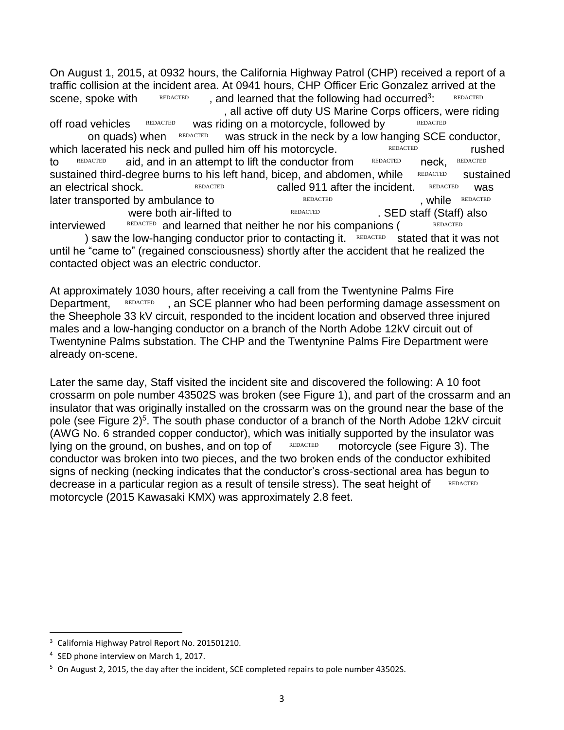On August 1, 2015, at 0932 hours, the California Highway Patrol (CHP) received a report of a traffic collision at the incident area. At 0941 hours, CHP Officer Eric Gonzalez arrived at the scene, spoke with  $REDACTED$ , and learned that the following had occurred<sup>3</sup>: REDACTED , all active off duty US Marine Corps officers, were riding

off road vehicles REDACTED was riding on a motorcycle, followed by REDACTED on quads) when REDACTED was struck in the neck by a low hanging SCE conductor, which lacerated his neck and pulled him off his motorcycle. The REDACTED rushed to REDACTED aid, and in an attempt to lift the conductor from REDACTED neck, REDACTED sustained third-degree burns to his left hand, bicep, and abdomen, while REDACTED sustained an electrical shock. The EEDACTED Called 911 after the incident. REDACTED was  $l$ ater transported by ambulance to  $REDACTED$ Were both air-lifted to **ELDACTED** REDACTED . SED staff (Staff) also REDACTED REDACTED REDACTED . while REDACTED REDACTED

interviewed REDACTED and learned that neither he nor his companions (REDACTED ) saw the low-hanging conductor prior to contacting it.  $REDACTED$  stated that it was not until he "came to" (regained consciousness) shortly after the accident that he realized the

contacted object was an electric conductor.

At approximately 1030 hours, after receiving a call from the Twentynine Palms Fire Department, REDACTED, an SCE planner who had been performing damage assessment on the Sheephole 33 kV circuit, responded to the incident location and observed three injured males and a low-hanging conductor on a branch of the North Adobe 12kV circuit out of Twentynine Palms substation. The CHP and the Twentynine Palms Fire Department were already on-scene. REDACTED

Later the same day, Staff visited the incident site and discovered the following: A 10 foot crossarm on pole number 43502S was broken (see Figure 1), and part of the crossarm and an insulator that was originally installed on the crossarm was on the ground near the base of the pole (see Figure 2)<sup>5</sup>. The south phase conductor of a branch of the North Adobe 12kV circuit (AWG No. 6 stranded copper conductor), which was initially supported by the insulator was lying on the ground, on bushes, and on top of  $F_{\text{REDACTED}}$  motorcycle (see Figure 3). The conductor was broken into two pieces, and the two broken ends of the conductor exhibited signs of necking (necking indicates that the conductor's cross-sectional area has begun to decrease in a particular region as a result of tensile stress). The seat height of motorcycle (2015 Kawasaki KMX) was approximately 2.8 feet. REDACTED motorcycle (see Figure 3). T<br>o broken ends of the conductor exhibit<br>uctor's cross-sectional area has begun<br>ile stress). The seat height of redacted

 $\overline{\phantom{a}}$ 

California Highway Patrol Report No. 201501210.

<sup>4</sup> SED phone interview on March 1, 2017.

<sup>&</sup>lt;sup>5</sup> On August 2, 2015, the day after the incident, SCE completed repairs to pole number 43502S.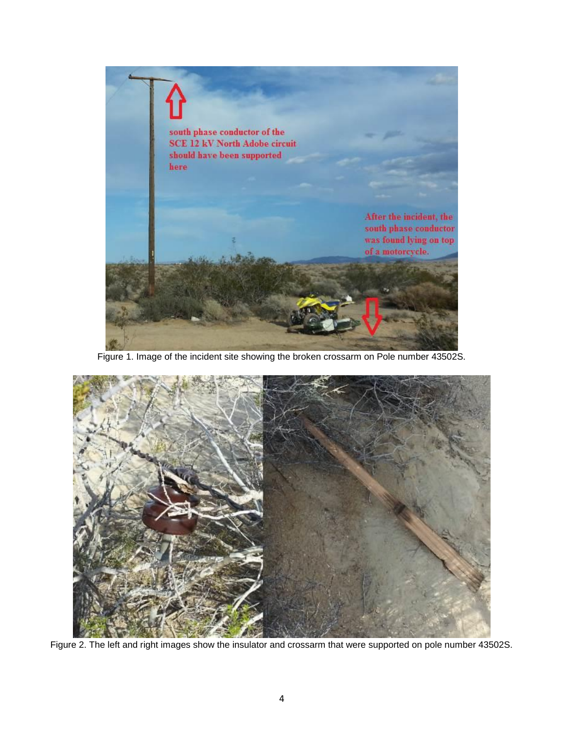

Figure 1. Image of the incident site showing the broken crossarm on Pole number 43502S.



Figure 2. The left and right images show the insulator and crossarm that were supported on pole number 43502S.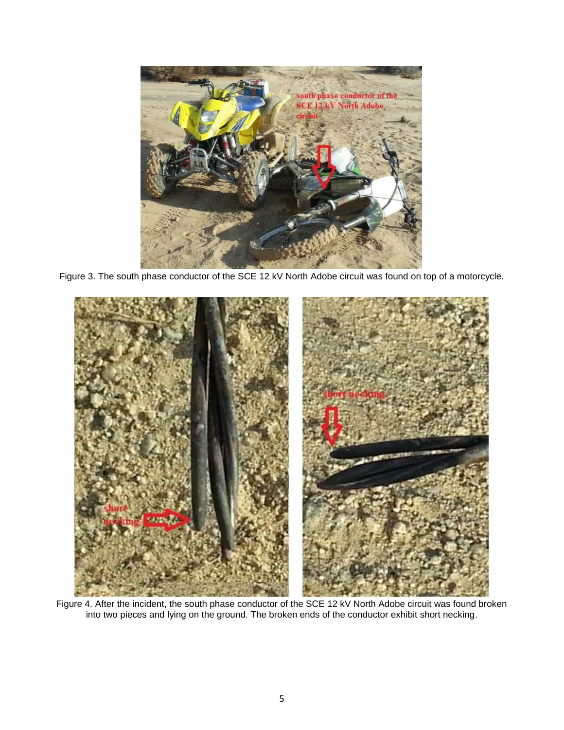

Figure 3. The south phase conductor of the SCE 12 kV North Adobe circuit was found on top of a motorcycle.



Figure 4. After the incident, the south phase conductor of the SCE 12 kV North Adobe circuit was found broken into two pieces and lying on the ground. The broken ends of the conductor exhibit short necking.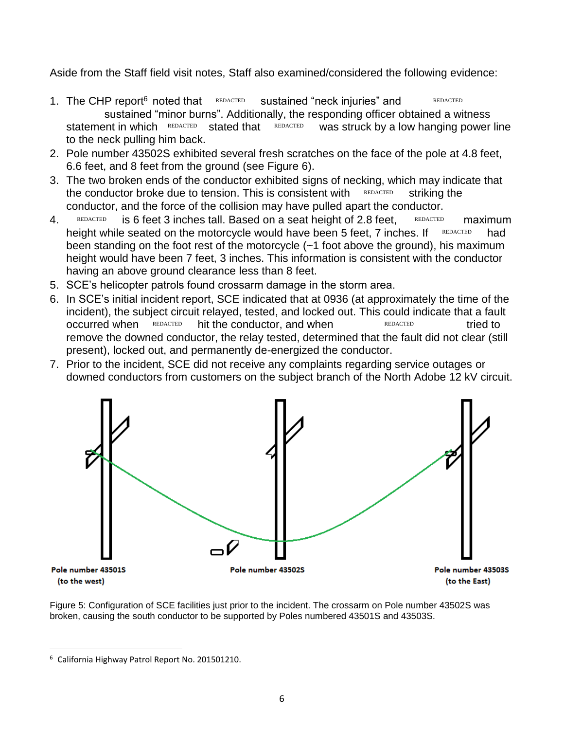Aside from the Staff field visit notes, Staff also examined/considered the following evidence:

- 1. The CHP report<sup>6</sup> noted that REDACTED sustained "minor burns". Additionally, the responding officer obtained a witness  $REDACTED$  was struck by a low hanging power line to the neck pulling him back. Sustained "neck injuries" and REDACTED statement in which REDACTED stated that
- 2. Pole number 43502S exhibited several fresh scratches on the face of the pole at 4.8 feet, 6.6 feet, and 8 feet from the ground (see Figure 6).
- 3. The two broken ends of the conductor exhibited signs of necking, which may indicate that the conductor broke due to tension. This is consistent with  $REDACTED$  striking the conductor, and the force of the collision may have pulled apart the conductor.
- 4. REDACTED is 6 feet 3 inches tall. Based on a seat height of 2.8 feet, REDACTED maximum height while seated on the motorcycle would have been 5 feet, 7 inches. If REDACTED had been standing on the foot rest of the motorcycle (~1 foot above the ground), his maximum height would have been 7 feet, 3 inches. This information is consistent with the conductor having an above ground clearance less than 8 feet. REDACTED the conductor and when<br>REDACTED REDACTED Striking the<br>e force of the collision may have pulled apart the conductor.<br>et 3 inches tall. Based on a seat height of 2.8 feet,  $\frac{REDACTED}{REDACTED}$ <br>red on the motorcycle wou
- 5. SCE's helicopter patrols found crossarm damage in the storm area.
- 6. In SCE's initial incident report, SCE indicated that at 0936 (at approximately the time of the incident), the subject circuit relayed, tested, and locked out. This could indicate that a fault occurred when REDACTED hit the conductor, and when REDACTED tried to remove the downed conductor, the relay tested, determined that the fault did not clear (still present), locked out, and permanently de-energized the conductor.
- 7. Prior to the incident, SCE did not receive any complaints regarding service outages or downed conductors from customers on the subject branch of the North Adobe 12 kV circuit.



Figure 5: Configuration of SCE facilities just prior to the incident. The crossarm on Pole number 43502S was broken, causing the south conductor to be supported by Poles numbered 43501S and 43503S.

 $\overline{\phantom{a}}$ 

<sup>6</sup> California Highway Patrol Report No. 201501210.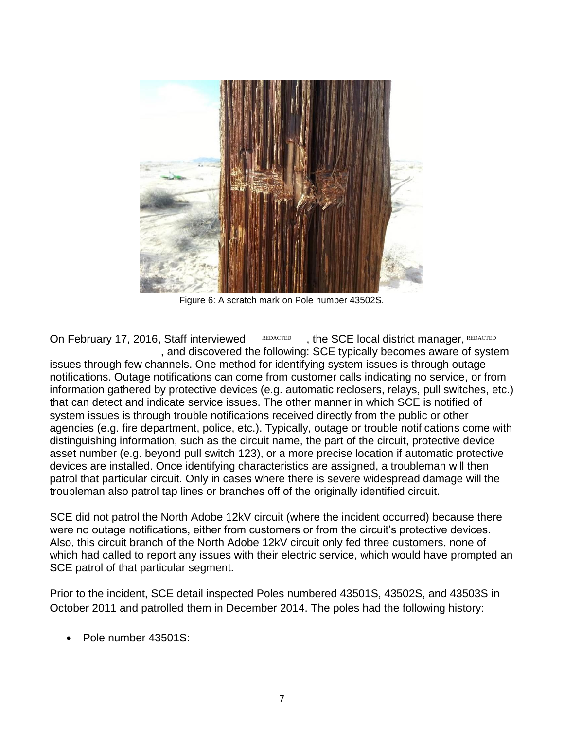

Figure 6: A scratch mark on Pole number 43502S.

On February 17, 2016, Staff interviewed REDACTED , and discovered the following: SCE typically becomes aware of system issues through few channels. One method for identifying system issues is through outage notifications. Outage notifications can come from customer calls indicating no service, or from information gathered by protective devices (e.g. automatic reclosers, relays, pull switches, etc.) that can detect and indicate service issues. The other manner in which SCE is notified of system issues is through trouble notifications received directly from the public or other agencies (e.g. fire department, police, etc.). Typically, outage or trouble notifications come with distinguishing information, such as the circuit name, the part of the circuit, protective device asset number (e.g. beyond pull switch 123), or a more precise location if automatic protective devices are installed. Once identifying characteristics are assigned, a troubleman will then patrol that particular circuit. Only in cases where there is severe widespread damage will the troubleman also patrol tap lines or branches off of the originally identified circuit. , the SCE local district manager, REDACTED

SCE did not patrol the North Adobe 12kV circuit (where the incident occurred) because there were no outage notifications, either from customers or from the circuit's protective devices. Also, this circuit branch of the North Adobe 12kV circuit only fed three customers, none of which had called to report any issues with their electric service, which would have prompted an SCE patrol of that particular segment.

Prior to the incident, SCE detail inspected Poles numbered 43501S, 43502S, and 43503S in October 2011 and patrolled them in December 2014. The poles had the following history:

• Pole number 43501S: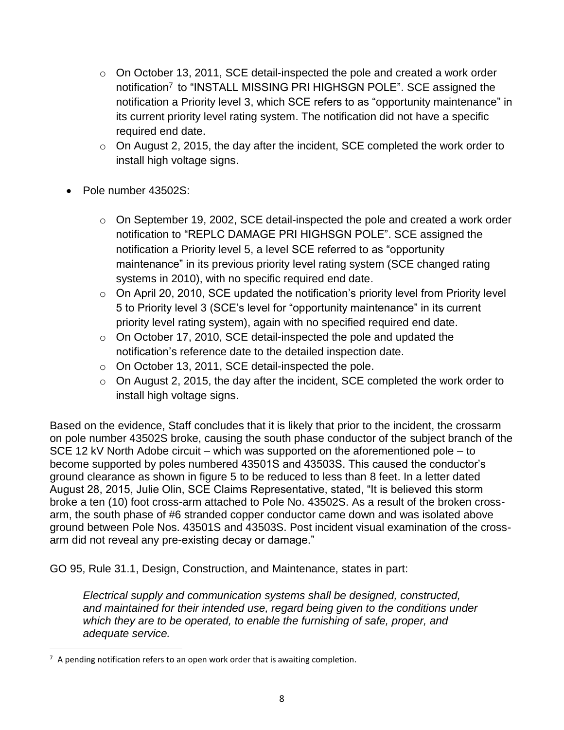- o On October 13, 2011, SCE detail-inspected the pole and created a work order notification<sup>7</sup> to "INSTALL MISSING PRI HIGHSGN POLE". SCE assigned the notification a Priority level 3, which SCE refers to as "opportunity maintenance" in its current priority level rating system. The notification did not have a specific required end date.
- o On August 2, 2015, the day after the incident, SCE completed the work order to install high voltage signs.
- Pole number 43502S:
	- o On September 19, 2002, SCE detail-inspected the pole and created a work order notification to "REPLC DAMAGE PRI HIGHSGN POLE". SCE assigned the notification a Priority level 5, a level SCE referred to as "opportunity maintenance" in its previous priority level rating system (SCE changed rating systems in 2010), with no specific required end date.
	- $\circ$  On April 20, 2010, SCE updated the notification's priority level from Priority level 5 to Priority level 3 (SCE's level for "opportunity maintenance" in its current priority level rating system), again with no specified required end date.
	- o On October 17, 2010, SCE detail-inspected the pole and updated the notification's reference date to the detailed inspection date.
	- o On October 13, 2011, SCE detail-inspected the pole.
	- o On August 2, 2015, the day after the incident, SCE completed the work order to install high voltage signs.

Based on the evidence, Staff concludes that it is likely that prior to the incident, the crossarm on pole number 43502S broke, causing the south phase conductor of the subject branch of the SCE 12 kV North Adobe circuit – which was supported on the aforementioned pole – to become supported by poles numbered 43501S and 43503S. This caused the conductor's ground clearance as shown in figure 5 to be reduced to less than 8 feet. In a letter dated August 28, 2015, Julie Olin, SCE Claims Representative, stated, "It is believed this storm broke a ten (10) foot cross-arm attached to Pole No. 43502S. As a result of the broken crossarm, the south phase of #6 stranded copper conductor came down and was isolated above ground between Pole Nos. 43501S and 43503S. Post incident visual examination of the crossarm did not reveal any pre-existing decay or damage."

GO 95, Rule 31.1, Design, Construction, and Maintenance, states in part:

*Electrical supply and communication systems shall be designed, constructed, and maintained for their intended use, regard being given to the conditions under which they are to be operated, to enable the furnishing of safe, proper, and adequate service.*

 $\overline{\phantom{a}}$ 

 $7$  A pending notification refers to an open work order that is awaiting completion.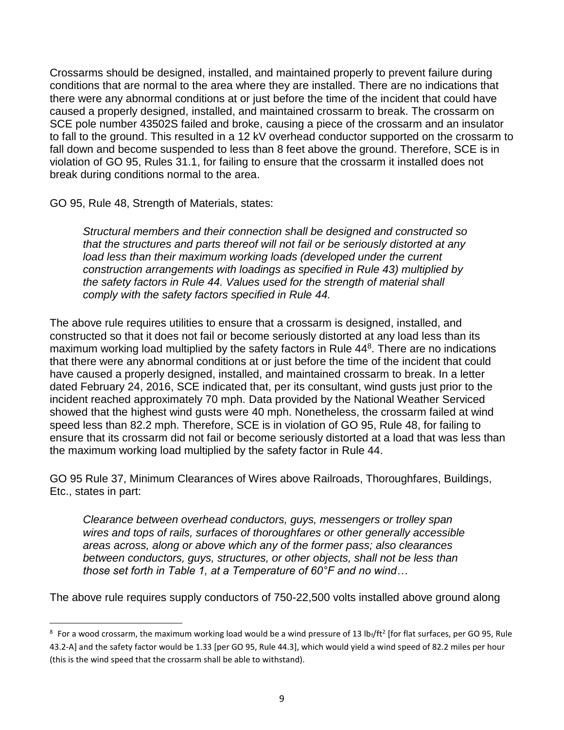Crossarms should be designed, installed, and maintained properly to prevent failure during conditions that are normal to the area where they are installed. There are no indications that there were any abnormal conditions at or just before the time of the incident that could have caused a properly designed, installed, and maintained crossarm to break. The crossarm on SCE pole number 43502S failed and broke, causing a piece of the crossarm and an insulator to fall to the ground. This resulted in a 12 kV overhead conductor supported on the crossarm to fall down and become suspended to less than 8 feet above the ground. Therefore, SCE is in violation of GO 95, Rules 31.1, for failing to ensure that the crossarm it installed does not break during conditions normal to the area.

GO 95, Rule 48, Strength of Materials, states:

 $\overline{\phantom{a}}$ 

*Structural members and their connection shall be designed and constructed so that the structures and parts thereof will not fail or be seriously distorted at any*  load less than their maximum working loads (developed under the current *construction arrangements with loadings as specified in Rule 43) multiplied by the safety factors in Rule 44. Values used for the strength of material shall comply with the safety factors specified in Rule 44.*

The above rule requires utilities to ensure that a crossarm is designed, installed, and constructed so that it does not fail or become seriously distorted at any load less than its maximum working load multiplied by the safety factors in Rule 44<sup>8</sup>. There are no indications that there were any abnormal conditions at or just before the time of the incident that could have caused a properly designed, installed, and maintained crossarm to break. In a letter dated February 24, 2016, SCE indicated that, per its consultant, wind gusts just prior to the incident reached approximately 70 mph. Data provided by the National Weather Serviced showed that the highest wind gusts were 40 mph. Nonetheless, the crossarm failed at wind speed less than 82.2 mph. Therefore, SCE is in violation of GO 95, Rule 48, for failing to ensure that its crossarm did not fail or become seriously distorted at a load that was less than the maximum working load multiplied by the safety factor in Rule 44.

GO 95 Rule 37, Minimum Clearances of Wires above Railroads, Thoroughfares, Buildings, Etc., states in part:

*Clearance between overhead conductors, guys, messengers or trolley span wires and tops of rails, surfaces of thoroughfares or other generally accessible areas across, along or above which any of the former pass; also clearances between conductors, guys, structures, or other objects, shall not be less than those set forth in Table 1, at a Temperature of 60°F and no wind…*

The above rule requires supply conductors of 750-22,500 volts installed above ground along

 $8$  For a wood crossarm, the maximum working load would be a wind pressure of 13 lb<sub>f</sub>/ft<sup>2</sup> [for flat surfaces, per GO 95, Rule 43.2-A] and the safety factor would be 1.33 [per GO 95, Rule 44.3], which would yield a wind speed of 82.2 miles per hour (this is the wind speed that the crossarm shall be able to withstand).